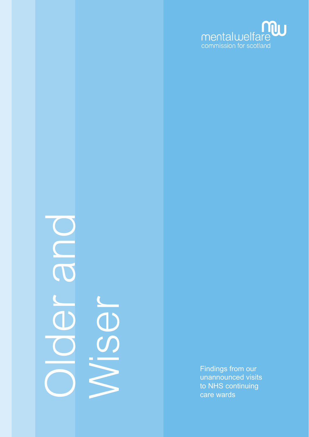

# Older and SO<sub>D</sub>

Findings from our unannounced visits to NHS continuing care wards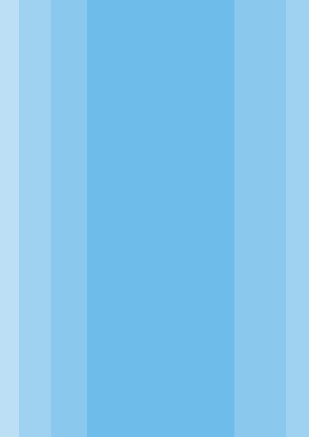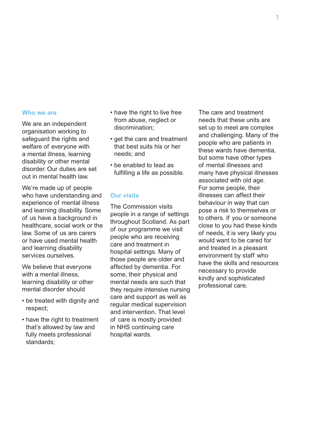#### **Who we are**

We are an independent organisation working to safeguard the rights and welfare of everyone with a mental illness, learning disability or other mental disorder. Our duties are set out in mental health law.

We're made up of people who have understanding and experience of mental illness and learning disability. Some of us have a background in healthcare, social work or the law. Some of us are carers or have used mental health and learning disability services ourselves.

We believe that everyone with a mental illness, learning disability or other mental disorder should

- be treated with dignity and respect;
- have the right to treatment that's allowed by law and fully meets professional standards;
- have the right to live free from abuse, neglect or discrimination;
- get the care and treatment that best suits his or her needs; and
- be enabled to lead as fulfilling a life as possible.

#### **Our visits**

The Commission visits people in a range of settings throughout Scotland. As part of our programme we visit people who are receiving care and treatment in hospital settings. Many of those people are older and affected by dementia. For some, their physical and mental needs are such that they require intensive nursing care and support as well as regular medical supervision and intervention. That level of care is mostly provided in NHS continuing care hospital wards.

The care and treatment needs that these units are set up to meet are complex and challenging. Many of the people who are patients in these wards have dementia, but some have other types of mental illnesses and many have physical illnesses associated with old age. For some people, their illnesses can affect their behaviour in way that can pose a risk to themselves or to others. If you or someone close to you had these kinds of needs, it is very likely you would want to be cared for and treated in a pleasant environment by staff who have the skills and resources necessary to provide kindly and sophisticated professional care.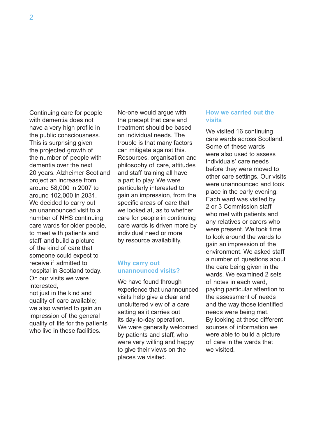Continuing care for people with dementia does not have a very high profile in the public consciousness. This is surprising given the projected growth of the number of people with dementia over the next 20 years. Alzheimer Scotland project an increase from around 58,000 in 2007 to around 102,000 in 2031. We decided to carry out an unannounced visit to a number of NHS continuing care wards for older people, to meet with patients and staff and build a picture of the kind of care that someone could expect to receive if admitted to hospital in Scotland today. On our visits we were interested, not just in the kind and quality of care available; we also wanted to gain an impression of the general quality of life for the patients who live in these facilities.

No-one would argue with the precept that care and treatment should be based on individual needs. The trouble is that many factors can mitigate against this. Resources, organisation and philosophy of care, attitudes and staff training all have a part to play. We were particularly interested to gain an impression, from the specific areas of care that we looked at, as to whether care for people in continuing care wards is driven more by individual need or more by resource availability.

#### **Why carry out unannounced visits?**

We have found through experience that unannounced visits help give a clear and uncluttered view of a care setting as it carries out its day-to-day operation. We were generally welcomed by patients and staff, who were very willing and happy to give their views on the places we visited.

### **How we carried out the visits**

We visited 16 continuing care wards across Scotland. Some of these wards were also used to assess individuals' care needs before they were moved to other care settings. Our visits were unannounced and took place in the early evening. Each ward was visited by 2 or 3 Commission staff who met with patients and any relatives or carers who were present. We took time to look around the wards to gain an impression of the environment. We asked staff a number of questions about the care being given in the wards. We examined 2 sets of notes in each ward, paying particular attention to the assessment of needs and the way those identified needs were being met. By looking at these different sources of information we were able to build a picture of care in the wards that we visited.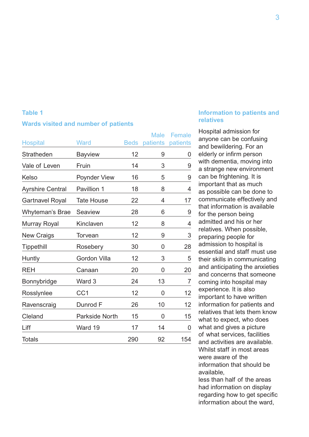#### **Table 1**

#### **Wards visited and number of patients**

|                         |                       |             | <b>Male</b> | <b>Female</b> |
|-------------------------|-----------------------|-------------|-------------|---------------|
| <b>Hospital</b>         | Ward                  | <b>Beds</b> | patients    | patients      |
| Stratheden              | <b>Bayview</b>        | 12          | 9           | 0             |
| Vale of Leven           | Fruin                 | 14          | 3           | 9             |
| Kelso                   | Poynder View          | 16          | 5           | 9             |
| <b>Ayrshire Central</b> | Pavillion 1           | 18          | 8           | 4             |
| <b>Gartnavel Royal</b>  | <b>Tate House</b>     | 22          | 4           | 17            |
| <b>Whyteman's Brae</b>  | Seaview               | 28          | 6           | 9             |
| Murray Royal            | Kinclaven             | 12          | 8           | 4             |
| <b>New Craigs</b>       | <b>Torvean</b>        | 12          | 9           | 3             |
| Tippethill              | Rosebery              | 30          | 0           | 28            |
| Huntly                  | Gordon Villa          | 12          | 3           | 5             |
| REH                     | Canaan                | 20          | 0           | 20            |
| Bonnybridge             | Ward 3                | 24          | 13          | 7             |
| Rosslynlee              | CC <sub>1</sub>       | 12          | 0           | 12            |
| Ravenscraig             | Dunrod F              | 26          | 10          | 12            |
| Cleland                 | <b>Parkside North</b> | 15          | 0           | 15            |
| Liff                    | Ward 19               | 17          | 14          | 0             |
| <b>Totals</b>           |                       | 290         | 92          | 154           |

### **Information to patients and relatives**

Hospital admission for anyone can be confusing and bewildering. For an elderly or infirm person with dementia, moving into a strange new environment can be frightening. It is important that as much as possible can be done to communicate effectively and that information is available for the person being admitted and his or her relatives. When possible, preparing people for admission to hospital is essential and staff must use their skills in communicating and anticipating the anxieties and concerns that someone coming into hospital may experience. It is also important to have written information for patients and relatives that lets them know what to expect, who does what and gives a picture of what services, facilities and activities are available. Whilst staff in most areas were aware of the information that should be available, less than half of the areas

had information on display regarding how to get specific information about the ward,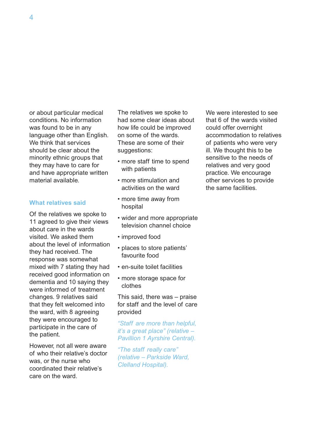or about particular medical conditions. No information was found to be in any language other than English. We think that services should be clear about the minority ethnic groups that they may have to care for and have appropriate written material available.

#### **What relatives said**

Of the relatives we spoke to 11 agreed to give their views about care in the wards visited. We asked them about the level of information they had received. The response was somewhat mixed with 7 stating they had received good information on dementia and 10 saying they were informed of treatment changes. 9 relatives said that they felt welcomed into the ward, with 8 agreeing they were encouraged to participate in the care of the patient.

However, not all were aware of who their relative's doctor was, or the nurse who coordinated their relative's care on the ward.

The relatives we spoke to had some clear ideas about how life could be improved on some of the wards. These are some of their suggestions:

- more staff time to spend with patients
- more stimulation and activities on the ward
- more time away from hospital
- wider and more appropriate television channel choice
- improved food
- places to store patients' favourite food
- en-suite toilet facilities
- more storage space for clothes

This said, there was – praise for staff and the level of care provided

*"Staff are more than helpful, it's a great place" (relative – Pavillion 1 Ayrshire Central).*

*"The staff really care" (relative – Parkside Ward, Clelland Hospital).*

We were interested to see that 6 of the wards visited could offer overnight accommodation to relatives of patients who were very ill. We thought this to be sensitive to the needs of relatives and very good practice. We encourage other services to provide the same facilities.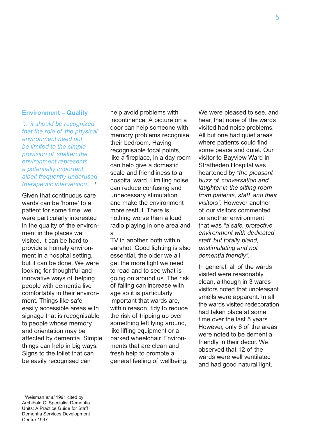#### **Environment – Quality**

*"... it should be recognized that the role of the physical environment need not be limited to the simple provision of shelter; the environment represents a potentially important, albeit frequently underused, therapeutic intervention..."* <sup>1</sup>

Given that continuous care wards can be 'home' to a patient for some time, we were particularly interested in the quality of the environment in the places we visited. It can be hard to provide a homely environment in a hospital setting, but it can be done. We were looking for thoughtful and innovative ways of helping people with dementia live comfortably in their environment. Things like safe, easily accessible areas with signage that is recognisable to people whose memory and orientation may be affected by dementia. Simple things can help in big ways. Signs to the toilet that can be easily recognised can

help avoid problems with incontinence. A picture on a door can help someone with memory problems recognise their bedroom. Having recognisable focal points, like a fireplace, in a day room can help give a domestic scale and friendliness to a hospital ward. Limiting noise can reduce confusing and unnecessary stimulation and make the environment more restful. There is nothing worse than a loud radio playing in one area and a

TV in another, both within earshot. Good lighting is also essential, the older we all get the more light we need to read and to see what is going on around us. The risk of falling can increase with age so it is particularly important that wards are, within reason, tidy to reduce the risk of tripping up over something left lying around, like lifting equipment or a parked wheelchair. Environments that are clean and fresh help to promote a general feeling of wellbeing.

We were pleased to see, and hear, that none of the wards visited had noise problems. All but one had quiet areas where patients could find some peace and quiet. Our visitor to Bayview Ward in Stratheden Hospital was heartened by *"the pleasant buzz of conversation and laughter in the sitting room from patients, staff and their visitors"*. However another of our visitors commented on another environment that was *"a safe, protective environment with dedicated staff but totally bland, unstimulating and not dementia friendly"*.

In general, all of the wards visited were reasonably clean, although in 3 wards visitors noted that unpleasant smells were apparent. In all the wards visited redecoration had taken place at some time over the last 5 years. However, only 6 of the areas were noted to be dementia friendly in their decor. We observed that 12 of the wards were well ventilated and had good natural light.

#### <sup>1</sup> Weisman *et al* 1991 cited by Archibald C. Specialist Dementia Units: A Practice Guide for Staff Dementia Services Development Centre 1997.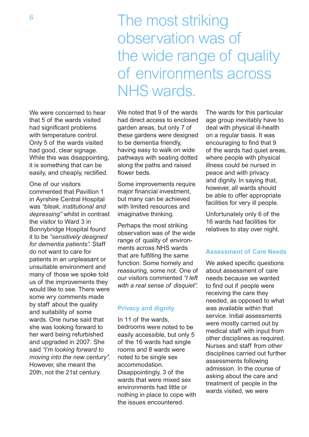We noted that 9 of the wards observation was of the wide range of quality of environments across NHS wards.

The most striking

We were concerned to hear that 5 of the wards visited had significant problems with temperature control. Only 5 of the wards visited had good, clear signage. While this was disappointing, it is something that can be easily, and cheaply, rectified.

One of our visitors commented that Pavillion 1 in Ayrshire Central Hospital was *"bleak, institutional and depressing"* whilst in contrast the visitor to Ward 3 in Bonnybridge Hospital found it to be *"sensitively designed for dementia patients"*. Staff do not want to care for patients in an unpleasant or unsuitable environment and many of those we spoke told us of the improvements they would like to see. There were some wry comments made by staff about the quality and suitability of some wards. One nurse said that she was looking forward to her ward being refurbished and upgraded in 2007. She said *"I'm looking forward to moving into the new century"*. However, she meant the 20th, not the 21st century.

had direct access to enclosed garden areas, but only 7 of these gardens were designed to be dementia friendly, having easy to walk on wide pathways with seating dotted along the paths and raised flower beds.

Some improvements require major financial investment, but many can be achieved with limited resources and imaginative thinking.

Perhaps the most striking observation was of the wide range of quality of environments across NHS wards that are fulfilling the same function. Some homely and reassuring, some not. One of our visitors commented *"I left with a real sense of disquiet"*.

### **Privacy and dignity**

In 11 of the wards, bedrooms were noted to be easily accessible, but only 5 of the 16 wards had single rooms and 8 wards were noted to be single sex accommodation. Disappointingly, 3 of the wards that were mixed sex environments had little or nothing in place to cope with the issues encountered.

The wards for this particular age group inevitably have to deal with physical ill-health on a regular basis. It was encouraging to find that 9 of the wards had quiet areas, where people with physical illness could be nursed in peace and with privacy and dignity. In saying that, however, all wards should be able to offer appropriate facilities for very ill people.

Unfortunately only 6 of the 16 wards had facilities for relatives to stay over night.

# **Assessment of Care Needs**

We asked specific questions about assessment of care needs because we wanted to find out if people were receiving the care they needed, as opposed to what was available within that service. Initial assessments were mostly carried out by medical staff with input from other disciplines as required. Nurses and staff from other disciplines carried out further assessments following admission. In the course of asking about the care and treatment of people in the wards visited, we were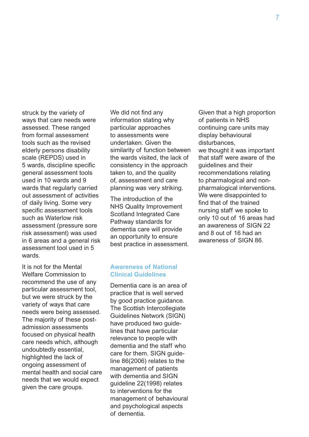struck by the variety of ways that care needs were assessed. These ranged from formal assessment tools such as the revised elderly persons disability scale (REPDS) used in 5 wards, discipline specific general assessment tools used in 10 wards and 9 wards that regularly carried out assessment of activities of daily living. Some very specific assessment tools such as Waterlow risk assessment (pressure sore risk assessment) was used in 6 areas and a general risk assessment tool used in 5 wards.

It is not for the Mental Welfare Commission to recommend the use of any particular assessment tool, but we were struck by the variety of ways that care needs were being assessed. The majority of these postadmission assessments focused on physical health care needs which, although undoubtedly essential, highlighted the lack of ongoing assessment of mental health and social care needs that we would expect given the care groups.

We did not find any information stating why particular approaches to assessments were undertaken. Given the similarity of function between the wards visited, the lack of consistency in the approach taken to, and the quality of, assessment and care planning was very striking.

The introduction of the NHS Quality Improvement Scotland Integrated Care Pathway standards for dementia care will provide an opportunity to ensure best practice in assessment.

## **Awareness of National Clinical Guidelines**

Dementia care is an area of practice that is well served by good practice guidance. The Scottish Intercollegiate Guidelines Network (SIGN) have produced two quidelines that have particular relevance to people with dementia and the staff who care for them. SIGN quideline 86(2006) relates to the management of patients with dementia and SIGN guideline 22(1998) relates to interventions for the management of behavioural and psychological aspects of dementia.

Given that a high proportion of patients in NHS continuing care units may display behavioural disturbances, we thought it was important that staff were aware of the guidelines and their recommendations relating to pharmalogical and nonpharmalogical interventions. We were disappointed to find that of the trained nursing staff we spoke to only 10 out of 16 areas had an awareness of SIGN 22 and 8 out of 16 had an awareness of SIGN 86.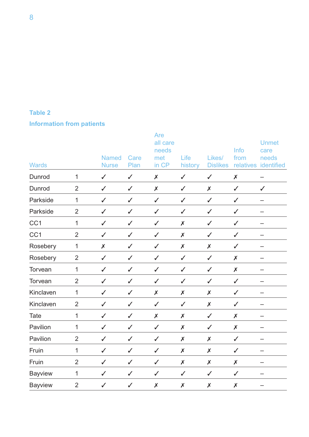# **Table 2 Information from patients**

| <b>Wards</b>   |                | <b>Named</b><br><b>Nurse</b> | Care<br>Plan | Are<br>all care<br>needs<br>met<br>in CP | Life<br>history           | Likes/<br><b>Dislikes</b> | Info<br>from       | <b>Unmet</b><br>care<br>needs<br>relatives identified |
|----------------|----------------|------------------------------|--------------|------------------------------------------|---------------------------|---------------------------|--------------------|-------------------------------------------------------|
| Dunrod         | 1              | $\checkmark$                 | $\checkmark$ | $\boldsymbol{x}$                         | $\checkmark$              | $\checkmark$              | $\pmb{\mathsf{X}}$ |                                                       |
| Dunrod         | $\overline{2}$ | $\checkmark$                 | $\checkmark$ | $\pmb{\mathsf{X}}$                       | $\checkmark$              | $\pmb{\mathsf{X}}$        | $\checkmark$       | $\checkmark$                                          |
| Parkside       | 1              | $\checkmark$                 | $\checkmark$ | $\checkmark$                             | $\checkmark$              | $\checkmark$              | $\checkmark$       |                                                       |
| Parkside       | $\overline{2}$ | $\checkmark$                 | $\checkmark$ | $\checkmark$                             | $\checkmark$              | $\checkmark$              | $\checkmark$       |                                                       |
| CC1            | 1              | $\checkmark$                 | $\checkmark$ | $\checkmark$                             | $\boldsymbol{X}$          | $\checkmark$              | $\checkmark$       | —                                                     |
| CC1            | $\overline{2}$ | $\checkmark$                 | $\checkmark$ | $\checkmark$                             | $\pmb{\mathsf{X}}$        | $\checkmark$              | $\checkmark$       |                                                       |
| Rosebery       | 1              | $\pmb{\mathsf{X}}$           | $\checkmark$ | $\checkmark$                             | $\pmb{\mathsf{X}}$        | $\pmb{\mathsf{X}}$        | $\checkmark$       |                                                       |
| Rosebery       | $\overline{2}$ | $\checkmark$                 | $\checkmark$ | $\checkmark$                             | $\checkmark$              | $\checkmark$              | $\pmb{\mathsf{X}}$ |                                                       |
| Torvean        | 1              | $\checkmark$                 | $\checkmark$ | $\checkmark$                             | $\checkmark$              | $\checkmark$              | $\pmb{\mathsf{X}}$ |                                                       |
| Torvean        | $\overline{2}$ | $\checkmark$                 | $\checkmark$ | $\checkmark$                             | $\checkmark$              | $\checkmark$              | $\checkmark$       |                                                       |
| Kinclaven      | 1              | $\checkmark$                 | $\checkmark$ | $\pmb{\mathsf{X}}$                       | $\pmb{\mathsf{X}}$        | $\pmb{\mathsf{X}}$        | $\checkmark$       |                                                       |
| Kinclaven      | $\overline{2}$ | $\checkmark$                 | $\checkmark$ | $\checkmark$                             | $\checkmark$              | $\pmb{\mathsf{X}}$        | $\checkmark$       |                                                       |
| <b>Tate</b>    | 1              | $\checkmark$                 | $\checkmark$ | $\boldsymbol{x}$                         | $\boldsymbol{X}$          | $\checkmark$              | $\boldsymbol{x}$   |                                                       |
| Pavilion       | 1              | $\checkmark$                 | $\checkmark$ | $\checkmark$                             | $\boldsymbol{\mathsf{X}}$ | $\checkmark$              | $\pmb{\mathsf{X}}$ |                                                       |
| Pavilion       | $\overline{2}$ | $\checkmark$                 | $\checkmark$ | $\checkmark$                             | $\pmb{\mathsf{X}}$        | $\pmb{\mathsf{X}}$        | $\checkmark$       | —                                                     |
| Fruin          | 1              | $\checkmark$                 | $\checkmark$ | $\checkmark$                             | $\pmb{\mathsf{X}}$        | $\chi$                    | $\checkmark$       | $\overline{\phantom{0}}$                              |
| Fruin          | $\overline{2}$ | $\checkmark$                 | $\checkmark$ | $\checkmark$                             | $\pmb{\mathsf{X}}$        | $\pmb{\mathsf{X}}$        | $\pmb{\mathsf{X}}$ |                                                       |
| <b>Bayview</b> | 1              | $\checkmark$                 | $\checkmark$ | $\checkmark$                             | $\checkmark$              | $\checkmark$              | $\checkmark$       |                                                       |
| <b>Bayview</b> | $\overline{2}$ | $\checkmark$                 | $\checkmark$ | $\pmb{\mathsf{X}}$                       | $\boldsymbol{X}$          | $\boldsymbol{X}$          | $\boldsymbol{X}$   |                                                       |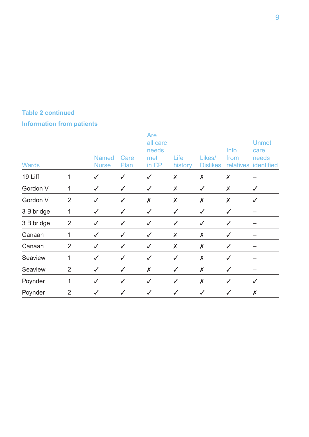# **Table 2 continued Information from patients**

| <b>Wards</b> |                | <b>Named</b><br><b>Nurse</b> | Care<br>Plan | Are<br>all care<br>needs<br>met<br>in CP | Life<br>history    | Likes/<br><b>Dislikes</b> | Info<br>from<br>relatives | <b>Unmet</b><br>care<br>needs<br>identified |
|--------------|----------------|------------------------------|--------------|------------------------------------------|--------------------|---------------------------|---------------------------|---------------------------------------------|
| 19 Liff      | 1              | $\checkmark$                 | $\checkmark$ | $\checkmark$                             | $\boldsymbol{x}$   | $\pmb{\mathsf{X}}$        | $\boldsymbol{x}$          |                                             |
| Gordon V     | 1              | $\checkmark$                 | $\checkmark$ | $\checkmark$                             | $\boldsymbol{x}$   | $\checkmark$              | $\boldsymbol{x}$          | $\checkmark$                                |
| Gordon V     | $\overline{2}$ | $\checkmark$                 | $\checkmark$ | $\pmb{\mathsf{X}}$                       | $\boldsymbol{X}$   | $\pmb{\mathsf{X}}$        | $\pmb{\mathsf{X}}$        | ✓                                           |
| 3 B'bridge   | 1              | $\checkmark$                 | $\checkmark$ | $\checkmark$                             | $\checkmark$       | $\checkmark$              | $\checkmark$              |                                             |
| 3 B'bridge   | $\overline{2}$ | $\checkmark$                 | $\checkmark$ | $\checkmark$                             | $\checkmark$       | $\checkmark$              | $\checkmark$              |                                             |
| Canaan       | 1              | $\checkmark$                 | $\checkmark$ | $\checkmark$                             | $\boldsymbol{X}$   | X                         | $\checkmark$              |                                             |
| Canaan       | $\overline{2}$ | $\checkmark$                 | $\checkmark$ | $\checkmark$                             | $\pmb{\mathsf{X}}$ | $\pmb{\mathsf{X}}$        | $\checkmark$              |                                             |
| Seaview      | 1              | $\checkmark$                 | $\checkmark$ | $\checkmark$                             | $\checkmark$       | $\pmb{\mathsf{X}}$        | $\checkmark$              |                                             |
| Seaview      | $\overline{2}$ | $\checkmark$                 | $\checkmark$ | $\pmb{\mathsf{X}}$                       | $\checkmark$       | $\pmb{\mathsf{X}}$        | $\checkmark$              |                                             |
| Poynder      | 1              | $\checkmark$                 | $\checkmark$ | $\checkmark$                             | $\checkmark$       | $\pmb{\mathsf{X}}$        | $\checkmark$              | $\checkmark$                                |
| Poynder      | $\overline{2}$ | $\checkmark$                 | ✓            | ✓                                        | $\checkmark$       | $\checkmark$              | $\checkmark$              | $\boldsymbol{\mathsf{X}}$                   |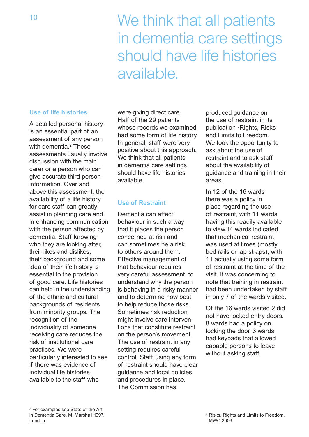We think that all patients in dementia care settings should have life histories available.

### **Use of life histories**

A detailed personal history is an essential part of an assessment of any person with dementia.<sup>2</sup> These assessments usually involve discussion with the main carer or a person who can give accurate third person information. Over and above this assessment, the availability of a life history for care staff can greatly assist in planning care and in enhancing communication with the person affected by dementia. Staff knowing who they are looking after. their likes and dislikes, their background and some idea of their life history is essential to the provision of good care. Life histories can help in the understanding of the ethnic and cultural backgrounds of residents from minority groups. The recognition of the individuality of someone receiving care reduces the risk of institutional care practices. We were particularly interested to see if there was evidence of individual life histories available to the staff who

were giving direct care. Half of the 29 patients whose records we examined had some form of life history. In general, staff were very positive about this approach. We think that all patients in dementia care settings should have life histories available.

# **Use of Restraint**

Dementia can affect behaviour in such a way that it places the person concerned at risk and can sometimes be a risk to others around them. Effective management of that behaviour requires very careful assessment, to understand why the person is behaving in a risky manner and to determine how best to help reduce those risks. Sometimes risk reduction might involve care interventions that constitute restraint on the person's movement. The use of restraint in any setting requires careful control. Staff using any form of restraint should have clear guidance and local policies and procedures in place. The Commission has

produced guidance on the use of restraint in its publication 3 Rights, Risks and Limits to Freedom. We took the opportunity to ask about the use of restraint and to ask staff about the availability of guidance and training in their areas.

In 12 of the 16 wards there was a policy in place regarding the use of restraint, with 11 wards having this readily available to view.14 wards indicated that mechanical restraint was used at times (mostly bed rails or lap straps), with 11 actually using some form of restraint at the time of the visit. It was concerning to note that training in restraint had been undertaken by staff in only 7 of the wards visited.

Of the 16 wards visited 2 did not have locked entry doors. 8 wards had a policy on locking the door. 3 wards had keypads that allowed capable persons to leave without asking staff.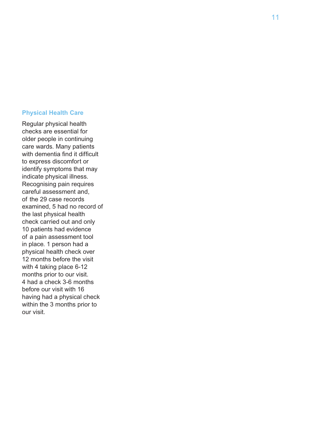# **Physical Health Care**

Regular physical health checks are essential for older people in continuing care wards. Many patients with dementia find it difficult to express discomfort or identify symptoms that may indicate physical illness. Recognising pain requires careful assessment and, of the 29 case records examined, 5 had no record of the last physical health check carried out and only 10 patients had evidence of a pain assessment tool in place. 1 person had a physical health check over 12 months before the visit with 4 taking place 6-12 months prior to our visit. 4 had a check 3-6 months before our visit with 16 having had a physical check within the 3 months prior to our visit.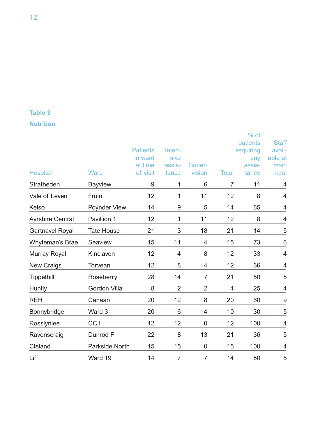# **Table 3 Nutrition**

|                         |                     |                 |                |                |                | $%$ of           |                   |
|-------------------------|---------------------|-----------------|----------------|----------------|----------------|------------------|-------------------|
|                         |                     | <b>Patients</b> |                |                |                | patients         | <b>Staff</b>      |
|                         |                     | in ward         | Inten-<br>sive |                |                | requiring<br>any | avail-<br>able at |
|                         |                     | at time         | assis-         | Super-         |                | assis-           | main              |
| <b>Hospital</b>         | <b>Ward</b>         | of visit        | tance          | vision         | <b>Total</b>   | tance            | meal              |
| Stratheden              | <b>Bayview</b>      | 9               | 1              | 6              | $\overline{7}$ | 11               | $\overline{4}$    |
| Vale of Leven           | Fruin               | 12              | 1              | 11             | 12             | 8                | $\overline{4}$    |
| Kelso                   | Poynder View        | 14              | 9              | 5              | 14             | 65               | $\overline{4}$    |
| <b>Ayrshire Central</b> | Pavillion 1         | 12              | 1              | 11             | 12             | 8                | $\overline{4}$    |
| <b>Gartnavel Royal</b>  | <b>Tate House</b>   | 21              | 3              | 18             | 21             | 14               | $\mathbf 5$       |
| Whyteman's Brae         | Seaview             | 15              | 11             | 4              | 15             | 73               | $6\,$             |
| Murray Royal            | Kinclaven           | 12              | 4              | 8              | 12             | 33               | 4                 |
| <b>New Craigs</b>       | <b>Torvean</b>      | 12              | 8              | 4              | 12             | 66               | $\overline{4}$    |
| Tippethill              | Roseberry           | 28              | 14             | $\overline{7}$ | 21             | 50               | 5                 |
| Huntly                  | <b>Gordon Villa</b> | 8               | $\overline{2}$ | $\overline{2}$ | 4              | 25               | $\overline{4}$    |
| <b>REH</b>              | Canaan              | 20              | 12             | 8              | 20             | 60               | $9$               |
| Bonnybridge             | Ward 3              | 20              | 6              | 4              | 10             | 30               | 5                 |
| Rosslynlee              | CC <sub>1</sub>     | 12              | 12             | $\overline{0}$ | 12             | 100              | $\overline{4}$    |
| Ravenscraig             | Dunrod F            | 22              | 8              | 13             | 21             | 36               | 5                 |
| Cleland                 | Parkside North      | 15              | 15             | $\mathbf 0$    | 15             | 100              | 4                 |
| Liff                    | Ward 19             | 14              | $\overline{7}$ | 7              | 14             | 50               | 5                 |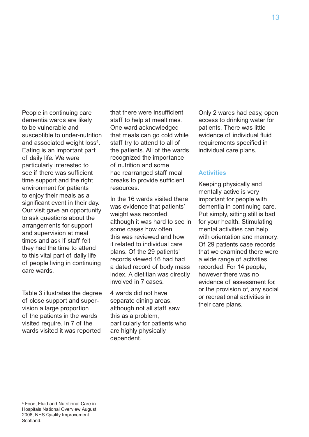People in continuing care dementia wards are likely to be vulnerable and susceptible to under-nutrition and associated weight loss<sup>4</sup>. Eating is an important part of daily life. We were particularly interested to see if there was sufficient time support and the right environment for patients to enjoy their meals as a significant event in their day. Our visit gave an opportunity to ask questions about the arrangements for support and supervision at meal times and ask if staff felt they had the time to attend to this vital part of daily life of people living in continuing care wards.

Table 3 illustrates the degree of close support and super vision a large proportion of the patients in the wards visited require. In 7 of the wards visited it was reported

that there were insufficient staff to help at mealtimes. One ward acknowledged that meals can go cold while staff try to attend to all of the patients. All of the wards recognized the importance of nutrition and some had rearranged staff meal breaks to provide sufficient resources.

In the 16 wards visited there was evidence that patients' weight was recorded, although it was hard to see in some cases how often this was reviewed and how it related to individual care plans. Of the 29 patients' records viewed 16 had had a dated record of body mass index. A dietitian was directly involved in 7 cases.

4 wards did not have separate dining areas, although not all staff saw this as a problem, particularly for patients who are highly physically dependent.

Only 2 wards had easy, open access to drinking water for patients. There was little evidence of individual fluid requirements specified in individual care plans.

#### **Activities**

Keeping physically and mentally active is very important for people with dementia in continuing care. Put simply, sitting still is bad for your health. Stimulating mental activities can help with orientation and memory. Of 29 patients case records that we examined there were a wide range of activities recorded. For 14 people, however there was no evidence of assessment for, or the provision of, any social or recreational activities in their care plans.

<sup>4</sup> Food, Fluid and Nutritional Care in Hospitals National Overview August 2006, NHS Quality Improvement Scotland.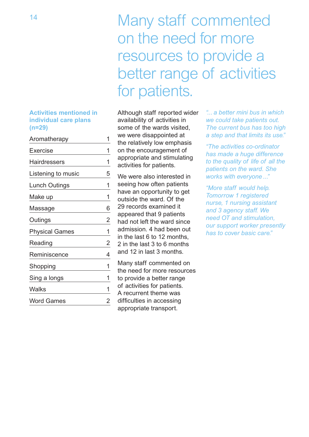## **Activities mentioned in individual care plans (n=29)**

| Aromatherapy          | 1 |
|-----------------------|---|
| <b>Exercise</b>       | 1 |
| <b>Hairdressers</b>   | 1 |
| Listening to music    | 5 |
| <b>Lunch Outings</b>  | 1 |
| Make up               | 1 |
| Massage               | 6 |
| Outings               | 2 |
| <b>Physical Games</b> | 1 |
| Reading               | 2 |
| Reminiscence          | 4 |
| Shopping              | 1 |
| Sing a longs          | 1 |
| Walks                 | 1 |
| <b>Word Games</b>     | 2 |
|                       |   |

Many staff commented on the need for more resources to provide a better range of activities for patients.

Although staff reported wider availability of activities in some of the wards visited, we were disappointed at the relatively low emphasis on the encouragement of appropriate and stimulating activities for patients.

We were also interested in seeing how often patients have an opportunity to get outside the ward. Of the 29 records examined it appeared that 9 patients had not left the ward since admission. 4 had been out in the last 6 to 12 months, 2 in the last 3 to 6 months and 12 in last 3 months.

Many staff commented on the need for more resources to provide a better range of activities for patients. A recurrent theme was difficulties in accessing appropriate transport.

*"... a better mini bus in which we could take patients out. The current bus has too high a step and that limits its use."* 

*"The activities co-ordinator has made a huge difference to the quality of life of all the patients on the ward. She works with everyone ..."*

*"More staff would help. Tomorrow 1 registered nurse, 1 nursing assistant and 3 agency staff. We need OT and stimulation, our support worker presently has to cover basic care."*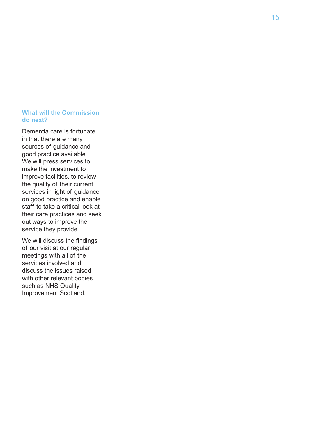#### **What will the Commission do next?**

Dementia care is fortunate in that there are many sources of guidance and good practice available. We will press services to make the investment to improve facilities, to review the quality of their current services in light of guidance on good practice and enable staff to take a critical look at their care practices and seek out ways to improve the service they provide.

We will discuss the findings of our visit at our regular meetings with all of the services involved and discuss the issues raised with other relevant bodies such as NHS Quality Improvement Scotland.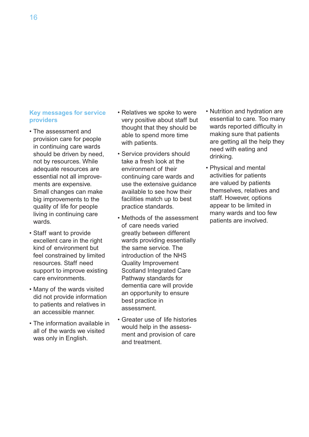### **Key messages for service providers**

- The assessment and provision care for people in continuing care wards should be driven by need, not by resources. While adequate resources are essential not all improve ments are expensive. Small changes can make big improvements to the quality of life for people living in continuing care wards.
- Staff want to provide excellent care in the right kind of environment but feel constrained by limited resources. Staff need support to improve existing care environments.
- Many of the wards visited did not provide information to patients and relatives in an accessible manner.
- The information available in all of the wards we visited was only in English.
- Relatives we spoke to were very positive about staff but thought that they should be able to spend more time with patients.
- Service providers should take a fresh look at the environment of their continuing care wards and use the extensive guidance available to see how their facilities match up to best practice standards.
- Methods of the assessment of care needs varied greatly between different wards providing essentially the same service. The introduction of the NHS Quality Improvement Scotland Integrated Care Pathway standards for dementia care will provide an opportunity to ensure best practice in assessment.
- Greater use of life histories would help in the assessment and provision of care and treatment.
- Nutrition and hydration are essential to care. Too many wards reported difficulty in making sure that patients are getting all the help they need with eating and drinking.
- Physical and mental activities for patients are valued by patients themselves, relatives and staff. However, options appear to be limited in many wards and too few patients are involved.